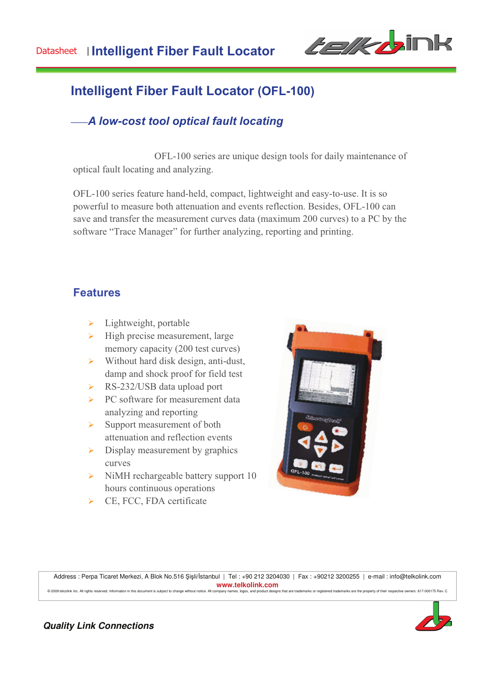

# **Intelligent Fiber Fault Locator (OFL-100)**

## *——A low-cost tool optical fault locating*

 OFL-100 series are unique design tools for daily maintenance of optical fault locating and analyzing.

OFL-100 series feature hand-held, compact, lightweight and easy-to-use. It is so powerful to measure both attenuation and events reflection. Besides, OFL-100 can save and transfer the measurement curves data (maximum 200 curves) to a PC by the software "Trace Manager" for further analyzing, reporting and printing.

#### **Features**

- $\blacktriangleright$  Lightweight, portable
- $\triangleright$  High precise measurement, large memory capacity (200 test curves)
- $\triangleright$  Without hard disk design, anti-dust, damp and shock proof for field test
- ▶ RS-232/USB data upload port
- $\triangleright$  PC software for measurement data analyzing and reporting
- $\triangleright$  Support measurement of both attenuation and reflection events
- $\triangleright$  Display measurement by graphics curves
- $\triangleright$  NiMH rechargeable battery support 10 hours continuous operations
- > CE, FCC, FDA certificate



Address : Perpa Ticaret Merkezi, A Blok No.516 Şişli/İstanbul | Tel : +90 212 3204030 | Fax : +90212 3200255 | e-mail : info@telkolink.com **www.telkolink.com**<br>company pames loops, and product designs that are trademarks or registered trademarks are the property of their respective owners, 617-000175 Rev. C COD9 telcolink Inc. All rights reserved. Information in this document is subject to change without notice. All company names, logos, and pro



**Quality Link Connections**